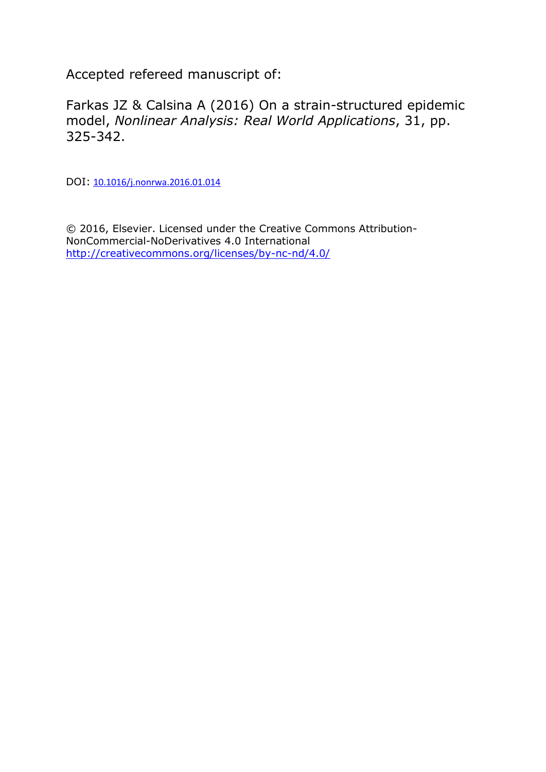Accepted refereed manuscript of:

Farkas JZ & Calsina A (2016) On a strain-structured epidemic model, *Nonlinear Analysis: Real World Applications*, 31, pp. 325-342.

DOI: [10.1016/j.nonrwa.2016.01.014](http://dx.doi.org/10.1016/j.nonrwa.2016.01.014)

© 2016, Elsevier. Licensed under the Creative Commons Attribution-NonCommercial-NoDerivatives 4.0 International <http://creativecommons.org/licenses/by-nc-nd/4.0/>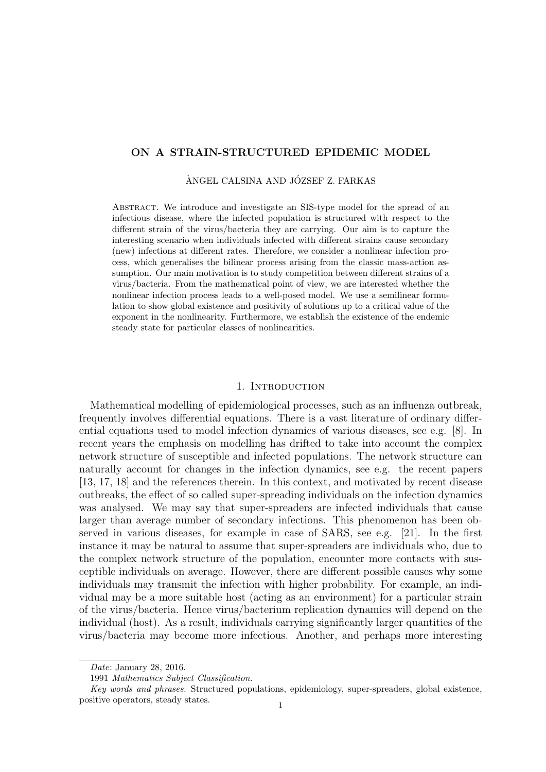# ON A STRAIN-STRUCTURED EPIDEMIC MODEL

## ÀNGEL CALSINA AND JÓZSEF Z. FARKAS

Abstract. We introduce and investigate an SIS-type model for the spread of an infectious disease, where the infected population is structured with respect to the different strain of the virus/bacteria they are carrying. Our aim is to capture the interesting scenario when individuals infected with different strains cause secondary (new) infections at different rates. Therefore, we consider a nonlinear infection process, which generalises the bilinear process arising from the classic mass-action assumption. Our main motivation is to study competition between different strains of a virus/bacteria. From the mathematical point of view, we are interested whether the nonlinear infection process leads to a well-posed model. We use a semilinear formulation to show global existence and positivity of solutions up to a critical value of the exponent in the nonlinearity. Furthermore, we establish the existence of the endemic steady state for particular classes of nonlinearities.

# 1. INTRODUCTION

Mathematical modelling of epidemiological processes, such as an influenza outbreak, frequently involves differential equations. There is a vast literature of ordinary differential equations used to model infection dynamics of various diseases, see e.g. [8]. In recent years the emphasis on modelling has drifted to take into account the complex network structure of susceptible and infected populations. The network structure can naturally account for changes in the infection dynamics, see e.g. the recent papers [13, 17, 18] and the references therein. In this context, and motivated by recent disease outbreaks, the effect of so called super-spreading individuals on the infection dynamics was analysed. We may say that super-spreaders are infected individuals that cause larger than average number of secondary infections. This phenomenon has been observed in various diseases, for example in case of SARS, see e.g. [21]. In the first instance it may be natural to assume that super-spreaders are individuals who, due to the complex network structure of the population, encounter more contacts with susceptible individuals on average. However, there are different possible causes why some individuals may transmit the infection with higher probability. For example, an individual may be a more suitable host (acting as an environment) for a particular strain of the virus/bacteria. Hence virus/bacterium replication dynamics will depend on the individual (host). As a result, individuals carrying significantly larger quantities of the virus/bacteria may become more infectious. Another, and perhaps more interesting

Date: January 28, 2016.

<sup>1991</sup> Mathematics Subject Classification.

Key words and phrases. Structured populations, epidemiology, super-spreaders, global existence, positive operators, steady states.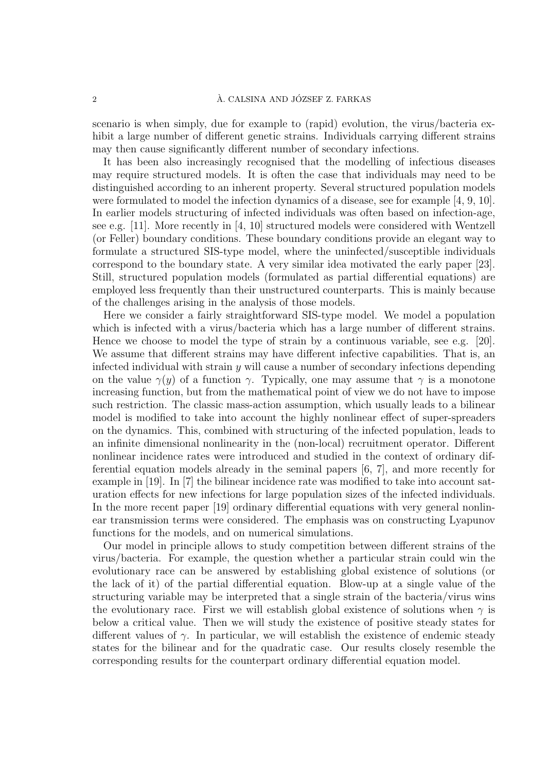### $\lambda$ . CALSINA AND JÓZSEF Z. FARKAS

scenario is when simply, due for example to (rapid) evolution, the virus/bacteria exhibit a large number of different genetic strains. Individuals carrying different strains may then cause significantly different number of secondary infections.

It has been also increasingly recognised that the modelling of infectious diseases may require structured models. It is often the case that individuals may need to be distinguished according to an inherent property. Several structured population models were formulated to model the infection dynamics of a disease, see for example [4, 9, 10]. In earlier models structuring of infected individuals was often based on infection-age, see e.g. [11]. More recently in [4, 10] structured models were considered with Wentzell (or Feller) boundary conditions. These boundary conditions provide an elegant way to formulate a structured SIS-type model, where the uninfected/susceptible individuals correspond to the boundary state. A very similar idea motivated the early paper [23]. Still, structured population models (formulated as partial differential equations) are employed less frequently than their unstructured counterparts. This is mainly because of the challenges arising in the analysis of those models.

Here we consider a fairly straightforward SIS-type model. We model a population which is infected with a virus/bacteria which has a large number of different strains. Hence we choose to model the type of strain by a continuous variable, see e.g. [20]. We assume that different strains may have different infective capabilities. That is, an infected individual with strain  $\gamma$  will cause a number of secondary infections depending on the value  $\gamma(y)$  of a function  $\gamma$ . Typically, one may assume that  $\gamma$  is a monotone increasing function, but from the mathematical point of view we do not have to impose such restriction. The classic mass-action assumption, which usually leads to a bilinear model is modified to take into account the highly nonlinear effect of super-spreaders on the dynamics. This, combined with structuring of the infected population, leads to an infinite dimensional nonlinearity in the (non-local) recruitment operator. Different nonlinear incidence rates were introduced and studied in the context of ordinary differential equation models already in the seminal papers [6, 7], and more recently for example in [19]. In [7] the bilinear incidence rate was modified to take into account saturation effects for new infections for large population sizes of the infected individuals. In the more recent paper [19] ordinary differential equations with very general nonlinear transmission terms were considered. The emphasis was on constructing Lyapunov functions for the models, and on numerical simulations.

Our model in principle allows to study competition between different strains of the virus/bacteria. For example, the question whether a particular strain could win the evolutionary race can be answered by establishing global existence of solutions (or the lack of it) of the partial differential equation. Blow-up at a single value of the structuring variable may be interpreted that a single strain of the bacteria/virus wins the evolutionary race. First we will establish global existence of solutions when  $\gamma$  is below a critical value. Then we will study the existence of positive steady states for different values of  $\gamma$ . In particular, we will establish the existence of endemic steady states for the bilinear and for the quadratic case. Our results closely resemble the corresponding results for the counterpart ordinary differential equation model.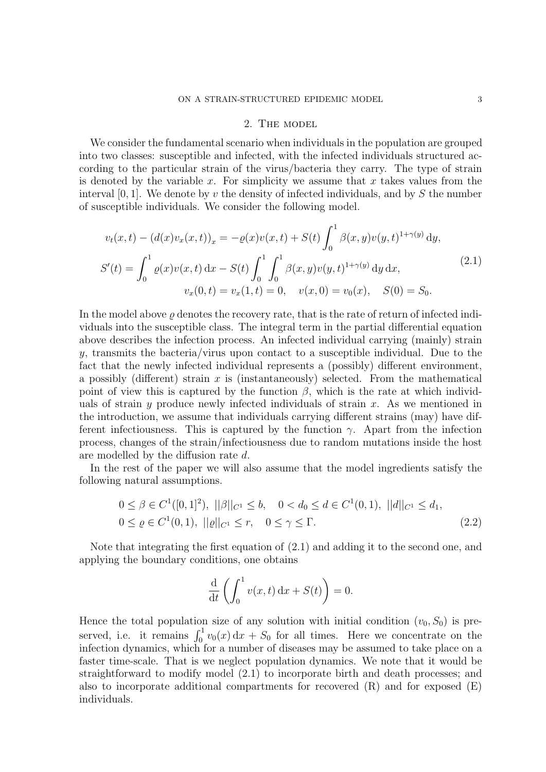#### 2. The model

We consider the fundamental scenario when individuals in the population are grouped into two classes: susceptible and infected, with the infected individuals structured according to the particular strain of the virus/bacteria they carry. The type of strain is denoted by the variable x. For simplicity we assume that x takes values from the interval  $[0, 1]$ . We denote by v the density of infected individuals, and by S the number of susceptible individuals. We consider the following model.

$$
v_t(x,t) - (d(x)v_x(x,t))_x = -\varrho(x)v(x,t) + S(t)\int_0^1 \beta(x,y)v(y,t)^{1+\gamma(y)} dy,
$$
  
\n
$$
S'(t) = \int_0^1 \varrho(x)v(x,t) dx - S(t)\int_0^1 \int_0^1 \beta(x,y)v(y,t)^{1+\gamma(y)} dy dx,
$$
  
\n
$$
v_x(0,t) = v_x(1,t) = 0, \quad v(x,0) = v_0(x), \quad S(0) = S_0.
$$
\n(2.1)

In the model above  $\rho$  denotes the recovery rate, that is the rate of return of infected individuals into the susceptible class. The integral term in the partial differential equation above describes the infection process. An infected individual carrying (mainly) strain y, transmits the bacteria/virus upon contact to a susceptible individual. Due to the fact that the newly infected individual represents a (possibly) different environment, a possibly (different) strain  $x$  is (instantaneously) selected. From the mathematical point of view this is captured by the function  $\beta$ , which is the rate at which individuals of strain y produce newly infected individuals of strain  $x$ . As we mentioned in the introduction, we assume that individuals carrying different strains (may) have different infectiousness. This is captured by the function  $\gamma$ . Apart from the infection process, changes of the strain/infectiousness due to random mutations inside the host are modelled by the diffusion rate d.

In the rest of the paper we will also assume that the model ingredients satisfy the following natural assumptions.

$$
0 \leq \beta \in C^{1}([0,1]^{2}), \ ||\beta||_{C^{1}} \leq b, \quad 0 < d_{0} \leq d \in C^{1}(0,1), \ ||d||_{C^{1}} \leq d_{1},
$$
  

$$
0 \leq \varrho \in C^{1}(0,1), \ ||\varrho||_{C^{1}} \leq r, \quad 0 \leq \gamma \leq \Gamma.
$$
 (2.2)

Note that integrating the first equation of (2.1) and adding it to the second one, and applying the boundary conditions, one obtains

$$
\frac{\mathrm{d}}{\mathrm{d}t} \left( \int_0^1 v(x,t) \, \mathrm{d}x + S(t) \right) = 0.
$$

Hence the total population size of any solution with initial condition  $(v_0, S_0)$  is preserved, i.e. it remains  $\int_0^1 v_0(x) dx + S_0$  for all times. Here we concentrate on the infection dynamics, which for a number of diseases may be assumed to take place on a faster time-scale. That is we neglect population dynamics. We note that it would be straightforward to modify model (2.1) to incorporate birth and death processes; and also to incorporate additional compartments for recovered (R) and for exposed (E) individuals.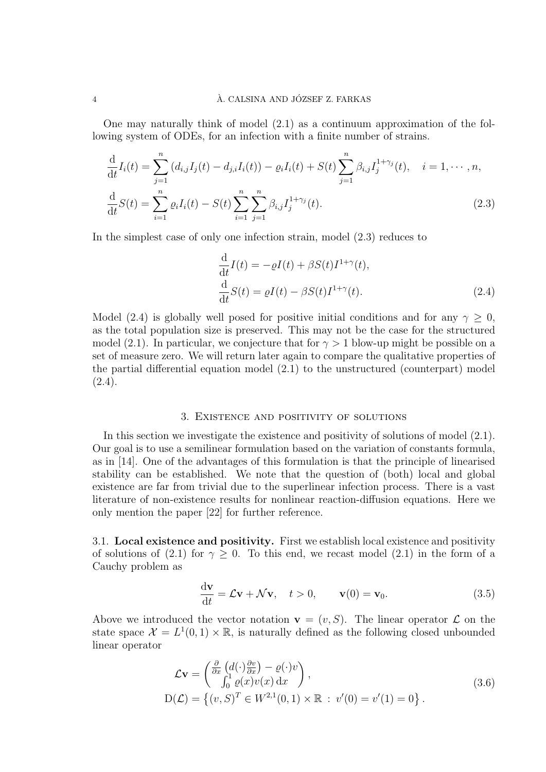### $\lambda$ . CALSINA AND JÓZSEF Z. FARKAS

One may naturally think of model (2.1) as a continuum approximation of the following system of ODEs, for an infection with a finite number of strains.

$$
\frac{\mathrm{d}}{\mathrm{d}t}I_i(t) = \sum_{j=1}^n (d_{i,j}I_j(t) - d_{j,i}I_i(t)) - \varrho_i I_i(t) + S(t) \sum_{j=1}^n \beta_{i,j} I_j^{1+\gamma_j}(t), \quad i = 1, \cdots, n,
$$
\n
$$
\frac{\mathrm{d}}{\mathrm{d}t}S(t) = \sum_{i=1}^n \varrho_i I_i(t) - S(t) \sum_{i=1}^n \sum_{j=1}^n \beta_{i,j} I_j^{1+\gamma_j}(t). \tag{2.3}
$$

In the simplest case of only one infection strain, model (2.3) reduces to

$$
\frac{\mathrm{d}}{\mathrm{d}t}I(t) = -\varrho I(t) + \beta S(t)I^{1+\gamma}(t),
$$
\n
$$
\frac{\mathrm{d}}{\mathrm{d}t}S(t) = \varrho I(t) - \beta S(t)I^{1+\gamma}(t).
$$
\n(2.4)

Model (2.4) is globally well posed for positive initial conditions and for any  $\gamma > 0$ , as the total population size is preserved. This may not be the case for the structured model (2.1). In particular, we conjecture that for  $\gamma > 1$  blow-up might be possible on a set of measure zero. We will return later again to compare the qualitative properties of the partial differential equation model (2.1) to the unstructured (counterpart) model  $(2.4).$ 

### 3. Existence and positivity of solutions

In this section we investigate the existence and positivity of solutions of model (2.1). Our goal is to use a semilinear formulation based on the variation of constants formula, as in [14]. One of the advantages of this formulation is that the principle of linearised stability can be established. We note that the question of (both) local and global existence are far from trivial due to the superlinear infection process. There is a vast literature of non-existence results for nonlinear reaction-diffusion equations. Here we only mention the paper [22] for further reference.

3.1. Local existence and positivity. First we establish local existence and positivity of solutions of (2.1) for  $\gamma \geq 0$ . To this end, we recast model (2.1) in the form of a Cauchy problem as

$$
\frac{\mathrm{d}\mathbf{v}}{\mathrm{d}t} = \mathcal{L}\mathbf{v} + \mathcal{N}\mathbf{v}, \quad t > 0, \qquad \mathbf{v}(0) = \mathbf{v}_0.
$$
 (3.5)

Above we introduced the vector notation  $\mathbf{v} = (v, S)$ . The linear operator  $\mathcal L$  on the state space  $\mathcal{X} = L^1(0,1) \times \mathbb{R}$ , is naturally defined as the following closed unbounded linear operator

$$
\mathcal{L}\mathbf{v} = \begin{pmatrix} \frac{\partial}{\partial x} \left( d(\cdot) \frac{\partial v}{\partial x} \right) - \varrho(\cdot) v \\ \int_0^1 \varrho(x) v(x) dx \end{pmatrix},
$$
  
\n
$$
D(\mathcal{L}) = \left\{ (v, S)^T \in W^{2,1}(0, 1) \times \mathbb{R} : v'(0) = v'(1) = 0 \right\}.
$$
\n(3.6)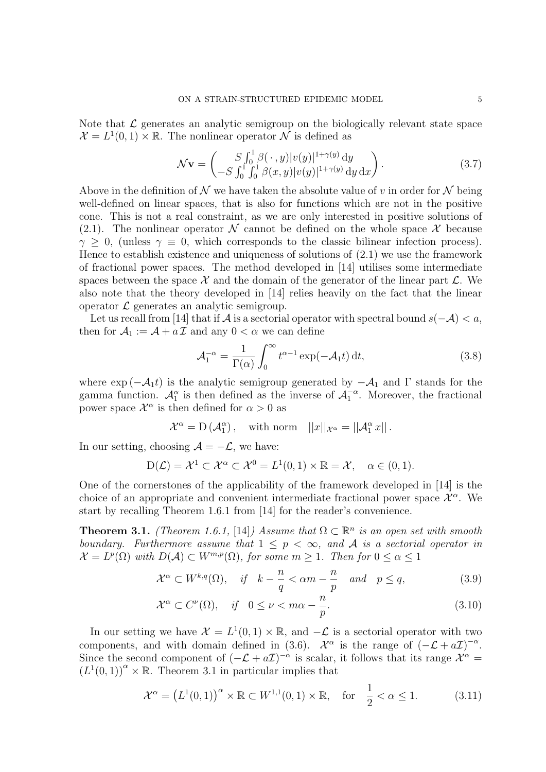Note that  $\mathcal L$  generates an analytic semigroup on the biologically relevant state space  $\mathcal{X} = L^1(0,1) \times \mathbb{R}$ . The nonlinear operator  $\mathcal N$  is defined as

$$
\mathcal{N}\mathbf{v} = \begin{pmatrix} S \int_0^1 \beta(\cdot, y) |v(y)|^{1+\gamma(y)} dy \\ -S \int_0^1 \int_0^1 \beta(x, y) |v(y)|^{1+\gamma(y)} dy dx \end{pmatrix}.
$$
 (3.7)

Above in the definition of  $\mathcal N$  we have taken the absolute value of v in order for  $\mathcal N$  being well-defined on linear spaces, that is also for functions which are not in the positive cone. This is not a real constraint, as we are only interested in positive solutions of (2.1). The nonlinear operator N cannot be defined on the whole space X because  $\gamma > 0$ , (unless  $\gamma \equiv 0$ , which corresponds to the classic bilinear infection process). Hence to establish existence and uniqueness of solutions of (2.1) we use the framework of fractional power spaces. The method developed in [14] utilises some intermediate spaces between the space  $\mathcal X$  and the domain of the generator of the linear part  $\mathcal L$ . We also note that the theory developed in [14] relies heavily on the fact that the linear operator  $\mathcal L$  generates an analytic semigroup.

Let us recall from [14] that if  $\mathcal A$  is a sectorial operator with spectral bound  $s(-\mathcal A) < a$ , then for  $A_1 := A + a \mathcal{I}$  and any  $0 < \alpha$  we can define

$$
\mathcal{A}_1^{-\alpha} = \frac{1}{\Gamma(\alpha)} \int_0^{\infty} t^{\alpha - 1} \exp(-\mathcal{A}_1 t) dt,
$$
\n(3.8)

where  $\exp(-\mathcal{A}_1t)$  is the analytic semigroup generated by  $-\mathcal{A}_1$  and  $\Gamma$  stands for the gamma function.  $\mathcal{A}_{1}^{\alpha}$  is then defined as the inverse of  $\mathcal{A}_{1}^{-\alpha}$ . Moreover, the fractional power space  $\mathcal{X}^{\alpha}$  is then defined for  $\alpha > 0$  as

 $\mathcal{X}^{\alpha} = D(\mathcal{A}_{1}^{\alpha}), \quad \text{with norm} \quad ||x||_{\mathcal{X}^{\alpha}} = ||\mathcal{A}_{1}^{\alpha} x||.$ 

In our setting, choosing  $A = -\mathcal{L}$ , we have:

$$
D(\mathcal{L}) = \mathcal{X}^1 \subset \mathcal{X}^{\alpha} \subset \mathcal{X}^0 = L^1(0, 1) \times \mathbb{R} = \mathcal{X}, \quad \alpha \in (0, 1).
$$

One of the cornerstones of the applicability of the framework developed in [14] is the choice of an appropriate and convenient intermediate fractional power space  $\mathcal{X}^{\alpha}$ . We start by recalling Theorem 1.6.1 from [14] for the reader's convenience.

**Theorem 3.1.** (Theorem 1.6.1, [14]) Assume that  $\Omega \subset \mathbb{R}^n$  is an open set with smooth boundary. Furthermore assume that  $1 \leq p \leq \infty$ , and A is a sectorial operator in  $\mathcal{X} = L^p(\Omega)$  with  $D(\mathcal{A}) \subset W^{m,p}(\Omega)$ , for some  $m \geq 1$ . Then for  $0 \leq \alpha \leq 1$ 

$$
\mathcal{X}^{\alpha} \subset W^{k,q}(\Omega), \quad \text{if} \quad k - \frac{n}{q} < \alpha m - \frac{n}{p} \quad \text{and} \quad p \le q,\tag{3.9}
$$

$$
\mathcal{X}^{\alpha} \subset C^{\nu}(\Omega), \quad \text{if} \quad 0 \le \nu < m\alpha - \frac{n}{p}.\tag{3.10}
$$

In our setting we have  $\mathcal{X} = L^1(0,1) \times \mathbb{R}$ , and  $-\mathcal{L}$  is a sectorial operator with two components, and with domain defined in (3.6).  $\mathcal{X}^{\alpha}$  is the range of  $(-\mathcal{L} + a\mathcal{I})^{-\alpha}$ . Since the second component of  $(-\mathcal{L} + a\mathcal{I})^{-\alpha}$  is scalar, it follows that its range  $\mathcal{X}^{\alpha} =$  $(L^1(0, 1))^{\alpha} \times \mathbb{R}$ . Theorem 3.1 in particular implies that

$$
\mathcal{X}^{\alpha} = \left( L^1(0,1) \right)^{\alpha} \times \mathbb{R} \subset W^{1,1}(0,1) \times \mathbb{R}, \quad \text{for} \quad \frac{1}{2} < \alpha \le 1. \tag{3.11}
$$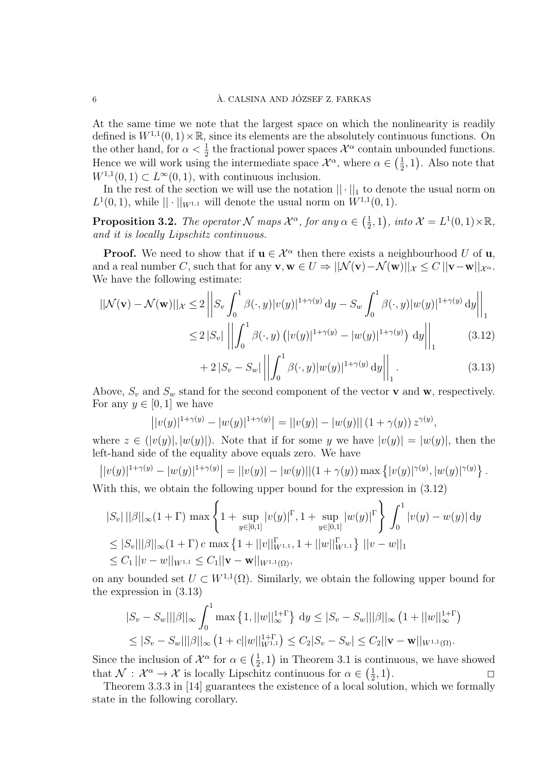At the same time we note that the largest space on which the nonlinearity is readily defined is  $W^{1,1}(0,1) \times \mathbb{R}$ , since its elements are the absolutely continuous functions. On the other hand, for  $\alpha < \frac{1}{2}$  the fractional power spaces  $\mathcal{X}^{\alpha}$  contain unbounded functions. Hence we will work using the intermediate space  $\mathcal{X}^{\alpha}$ , where  $\alpha \in \left(\frac{1}{2}\right)$  $(\frac{1}{2}, 1)$ . Also note that  $W^{1,1}(0,1) \subset L^{\infty}(0,1)$ , with continuous inclusion.

In the rest of the section we will use the notation  $|| \cdot ||_1$  to denote the usual norm on  $L^1(0,1)$ , while  $|| \cdot ||_{W^{1,1}}$  will denote the usual norm on  $W^{1,1}(0,1)$ .

**Proposition 3.2.** The operator N maps  $\mathcal{X}^{\alpha}$ , for any  $\alpha \in (\frac{1}{2})$  $(\frac{1}{2}, 1), \text{ into } \mathcal{X} = L^1(0, 1) \times \mathbb{R},$ and it is locally Lipschitz continuous.

**Proof.** We need to show that if  $u \in \mathcal{X}^{\alpha}$  then there exists a neighbourhood U of  $u$ , and a real number C, such that for any  $\mathbf{v}, \mathbf{w} \in U \Rightarrow ||\mathcal{N}(\mathbf{v}) - \mathcal{N}(\mathbf{w})||_{\mathcal{X}} \leq C ||\mathbf{v} - \mathbf{w}||_{\mathcal{X}^{\alpha}}$ . We have the following estimate:

$$
||\mathcal{N}(\mathbf{v}) - \mathcal{N}(\mathbf{w})||_{\mathcal{X}} \le 2 \left| \left| S_v \int_0^1 \beta(\cdot, y) |v(y)|^{1+\gamma(y)} dy - S_w \int_0^1 \beta(\cdot, y) |w(y)|^{1+\gamma(y)} dy \right| \right|_1
$$
  
\n
$$
\le 2 |S_v| \left| \left| \int_0^1 \beta(\cdot, y) \left( |v(y)|^{1+\gamma(y)} - |w(y)|^{1+\gamma(y)} \right) dy \right| \right|_1
$$
(3.12)

$$
+ 2|S_v - S_w| \left\| \int_0^1 \beta(\cdot, y) |w(y)|^{1+\gamma(y)} dy \right\|_1.
$$
 (3.13)

Above,  $S_v$  and  $S_w$  stand for the second component of the vector **v** and **w**, respectively. For any  $y \in [0, 1]$  we have

$$
||v(y)|^{1+\gamma(y)} - |w(y)|^{1+\gamma(y)} = ||v(y)| - |w(y)|| (1+\gamma(y)) z^{\gamma(y)},
$$

where  $z \in (|v(y)|, |w(y)|)$ . Note that if for some y we have  $|v(y)| = |w(y)|$ , then the left-hand side of the equality above equals zero. We have

$$
||v(y)|^{1+\gamma(y)} - |w(y)|^{1+\gamma(y)} = ||v(y)| - |w(y)||(1+\gamma(y)) \max\{|v(y)|^{\gamma(y)}, |w(y)|^{\gamma(y)}\}.
$$

With this, we obtain the following upper bound for the expression in  $(3.12)$ 

$$
|S_v| ||\beta||_{\infty} (1+\Gamma) \max \left\{ 1 + \sup_{y \in [0,1]} |v(y)|^{\Gamma}, 1 + \sup_{y \in [0,1]} |w(y)|^{\Gamma} \right\} \int_0^1 |v(y) - w(y)| dy
$$
  
\n
$$
\leq |S_v|| |\beta||_{\infty} (1+\Gamma) c \max \left\{ 1 + ||v||_{W^{1,1}}^{\Gamma}, 1 + ||w||_{W^{1,1}}^{\Gamma} \right\} ||v-w||_1
$$
  
\n
$$
\leq C_1 ||v-w||_{W^{1,1}} \leq C_1 ||\mathbf{v} - \mathbf{w}||_{W^{1,1}(\Omega)},
$$

on any bounded set  $U \subset W^{1,1}(\Omega)$ . Similarly, we obtain the following upper bound for the expression in (3.13)

$$
|S_v - S_w|| |\beta||_{\infty} \int_0^1 \max\left\{1, ||w||_{\infty}^{1+\Gamma}\right\} dy \leq |S_v - S_w|| |\beta||_{\infty} \left(1 + ||w||_{\infty}^{1+\Gamma}\right) \leq |S_v - S_w|| |\beta||_{\infty} \left(1 + c||w||_{W^{1,1}}^{1+\Gamma}\right) \leq C_2 |S_v - S_w| \leq C_2 ||\mathbf{v} - \mathbf{w}||_{W^{1,1}(\Omega)}.
$$

Since the inclusion of  $\mathcal{X}^{\alpha}$  for  $\alpha \in \left(\frac{1}{2}\right)$  $(\frac{1}{2}, 1)$  in Theorem 3.1 is continuous, we have showed that  $\mathcal{N}: \mathcal{X}^{\alpha} \to \mathcal{X}$  is locally Lipschitz continuous for  $\alpha \in \left(\frac{1}{2}\right)$  $\frac{1}{2}, 1)$  $\begin{array}{ccc} . & & \square \\ . & & \square \end{array}$ 

Theorem 3.3.3 in [14] guarantees the existence of a local solution, which we formally state in the following corollary.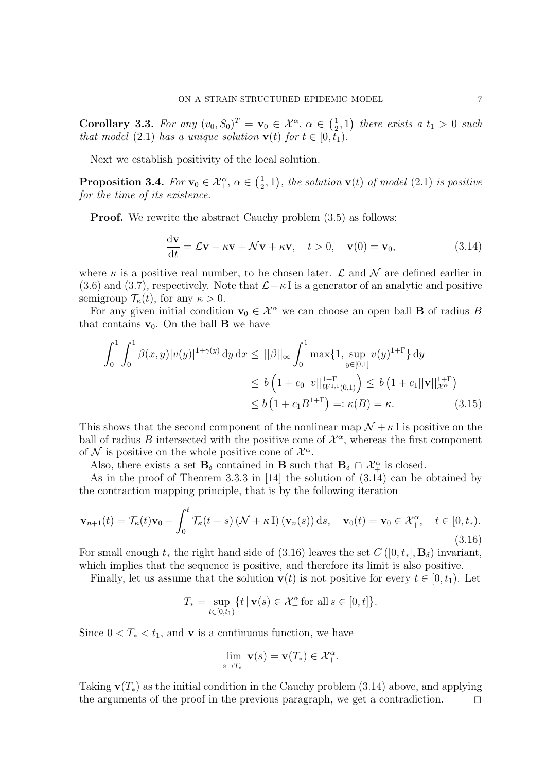Corollary 3.3. For any  $(v_0, S_0)^T = \mathbf{v}_0 \in \mathcal{X}^{\alpha}, \alpha \in \left(\frac{1}{2}\right)$  $(\frac{1}{2},1)$  there exists a  $t_1 > 0$  such that model (2.1) has a unique solution  $\mathbf{v}(t)$  for  $t \in [0, t_1)$ .

Next we establish positivity of the local solution.

 $\textbf{Proposition 3.4.} \; For \, \mathbf{v}_0 \in \mathcal{X}_+^\alpha, \, \alpha \in \big(\frac{1}{2}\big)$  $(\frac{1}{2},1)$ , the solution  $\mathbf{v}(t)$  of model  $(2.1)$  is positive for the time of its existence.

**Proof.** We rewrite the abstract Cauchy problem  $(3.5)$  as follows:

$$
\frac{\mathrm{d}\mathbf{v}}{\mathrm{d}t} = \mathcal{L}\mathbf{v} - \kappa \mathbf{v} + \mathcal{N}\mathbf{v} + \kappa \mathbf{v}, \quad t > 0, \quad \mathbf{v}(0) = \mathbf{v}_0,
$$
\n(3.14)

where  $\kappa$  is a positive real number, to be chosen later.  $\mathcal L$  and  $\mathcal N$  are defined earlier in (3.6) and (3.7), respectively. Note that  $\mathcal{L} - \kappa I$  is a generator of an analytic and positive semigroup  $\mathcal{T}_{\kappa}(t)$ , for any  $\kappa > 0$ .

For any given initial condition  $\mathbf{v}_0 \in \mathcal{X}_+^{\alpha}$  we can choose an open ball **B** of radius B that contains  $v_0$ . On the ball **B** we have

$$
\int_0^1 \int_0^1 \beta(x, y) |v(y)|^{1+\gamma(y)} dy dx \le ||\beta||_{\infty} \int_0^1 \max\{1, \sup_{y \in [0,1]} v(y)^{1+\Gamma}\} dy
$$
  
\n
$$
\le b \left(1 + c_0 ||v||_{W^{1,1}(0,1)}^{1+\Gamma}\right) \le b \left(1 + c_1 ||\mathbf{v}||_{\mathcal{X}^{\alpha}}^{1+\Gamma}\right)
$$
  
\n
$$
\le b \left(1 + c_1 B^{1+\Gamma}\right) =: \kappa(B) = \kappa.
$$
 (3.15)

This shows that the second component of the nonlinear map  $\mathcal{N} + \kappa I$  is positive on the ball of radius B intersected with the positive cone of  $\mathcal{X}^{\alpha}$ , whereas the first component of N is positive on the whole positive cone of  $\mathcal{X}^{\alpha}$ .

Also, there exists a set  $\mathbf{B}_{\delta}$  contained in **B** such that  $\mathbf{B}_{\delta} \cap \mathcal{X}_{+}^{\alpha}$  is closed.

As in the proof of Theorem 3.3.3 in [14] the solution of (3.14) can be obtained by the contraction mapping principle, that is by the following iteration

$$
\mathbf{v}_{n+1}(t) = \mathcal{T}_{\kappa}(t)\mathbf{v}_0 + \int_0^t \mathcal{T}_{\kappa}(t-s) \left(\mathcal{N} + \kappa \mathbf{I}\right) (\mathbf{v}_n(s)) \, \mathrm{d}s, \quad \mathbf{v}_0(t) = \mathbf{v}_0 \in \mathcal{X}_+^{\alpha}, \quad t \in [0, t_*). \tag{3.16}
$$

For small enough  $t_*$  the right hand side of (3.16) leaves the set  $C([0, t_*], \mathbf{B}_\delta)$  invariant, which implies that the sequence is positive, and therefore its limit is also positive.

Finally, let us assume that the solution  $\mathbf{v}(t)$  is not positive for every  $t \in [0, t_1)$ . Let

$$
T_* = \sup_{t \in [0,t_1)} \{ t \, | \, \mathbf{v}(s) \in \mathcal{X}_+^{\alpha} \text{ for all } s \in [0,t] \}.
$$

Since  $0 < T_* < t_1$ , and **v** is a continuous function, we have

$$
\lim_{s \to T_*^-} \mathbf{v}(s) = \mathbf{v}(T_*) \in \mathcal{X}_+^{\alpha}.
$$

Taking  $\mathbf{v}(T_*)$  as the initial condition in the Cauchy problem (3.14) above, and applying the arguments of the proof in the previous paragraph, we get a contradiction.  $\Box$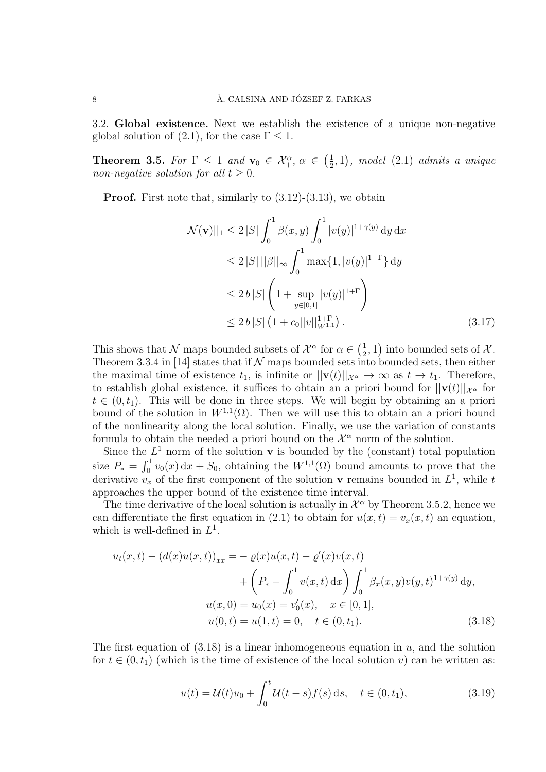3.2. Global existence. Next we establish the existence of a unique non-negative global solution of (2.1), for the case  $\Gamma \leq 1$ .

**Theorem 3.5.** For  $\Gamma \leq 1$  and  $\mathbf{v}_0 \in \mathcal{X}_+^{\alpha}, \alpha \in \left(\frac{1}{2}\right)$  $(\frac{1}{2}, 1)$ , model  $(2.1)$  admits a unique non-negative solution for all  $t \geq 0$ .

**Proof.** First note that, similarly to  $(3.12)$ - $(3.13)$ , we obtain

$$
||\mathcal{N}(\mathbf{v})||_1 \le 2 |S| \int_0^1 \beta(x, y) \int_0^1 |v(y)|^{1+\gamma(y)} dy dx
$$
  
\n
$$
\le 2 |S| ||\beta||_{\infty} \int_0^1 \max\{1, |v(y)|^{1+\Gamma}\} dy
$$
  
\n
$$
\le 2 b |S| \left(1 + \sup_{y \in [0, 1]} |v(y)|^{1+\Gamma}\right)
$$
  
\n
$$
\le 2 b |S| \left(1 + c_0 ||v||_{W^{1,1}}^{1+\Gamma}\right).
$$
\n(3.17)

This shows that N maps bounded subsets of  $\mathcal{X}^{\alpha}$  for  $\alpha \in \left(\frac{1}{2}\right)$  $(\frac{1}{2}, 1)$  into bounded sets of X. Theorem 3.3.4 in [14] states that if  $N$  maps bounded sets into bounded sets, then either the maximal time of existence  $t_1$ , is infinite or  $||\mathbf{v}(t)||_{\mathcal{X}^\alpha} \to \infty$  as  $t \to t_1$ . Therefore, to establish global existence, it suffices to obtain an a priori bound for  $||\mathbf{v}(t)||_{\mathcal{X}^{\alpha}}$  for  $t \in (0, t_1)$ . This will be done in three steps. We will begin by obtaining an a priori bound of the solution in  $W^{1,1}(\Omega)$ . Then we will use this to obtain an a priori bound of the nonlinearity along the local solution. Finally, we use the variation of constants formula to obtain the needed a priori bound on the  $\mathcal{X}^{\alpha}$  norm of the solution.

Since the  $L^1$  norm of the solution **v** is bounded by the (constant) total population size  $P_* = \int_0^1 v_0(x) dx + S_0$ , obtaining the  $W^{1,1}(\Omega)$  bound amounts to prove that the derivative  $v_x$  of the first component of the solution **v** remains bounded in  $L^1$ , while t approaches the upper bound of the existence time interval.

The time derivative of the local solution is actually in  $\mathcal{X}^{\alpha}$  by Theorem 3.5.2, hence we can differentiate the first equation in (2.1) to obtain for  $u(x,t) = v_x(x,t)$  an equation, which is well-defined in  $L^1$ .

$$
u_t(x,t) - (d(x)u(x,t))_{xx} = -\varrho(x)u(x,t) - \varrho'(x)v(x,t)
$$

$$
+ \left(P_* - \int_0^1 v(x,t) dx\right) \int_0^1 \beta_x(x,y)v(y,t)^{1+\gamma(y)} dy,
$$

$$
u(x,0) = u_0(x) = v'_0(x), \quad x \in [0,1],
$$

$$
u(0,t) = u(1,t) = 0, \quad t \in (0,t_1).
$$
(3.18)

The first equation of  $(3.18)$  is a linear inhomogeneous equation in u, and the solution for  $t \in (0, t_1)$  (which is the time of existence of the local solution v) can be written as:

$$
u(t) = \mathcal{U}(t)u_0 + \int_0^t \mathcal{U}(t-s)f(s) \,ds, \quad t \in (0, t_1), \tag{3.19}
$$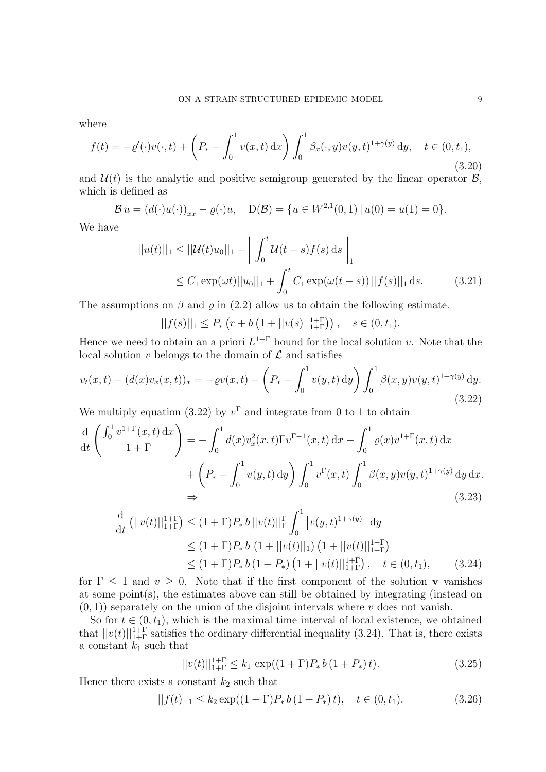where

$$
f(t) = -\varrho'(\cdot)v(\cdot, t) + \left(P_* - \int_0^1 v(x, t) \, dx\right) \int_0^1 \beta_x(\cdot, y)v(y, t)^{1+\gamma(y)} \, dy, \quad t \in (0, t_1),
$$
\n(3.20)

and  $\mathcal{U}(t)$  is the analytic and positive semigroup generated by the linear operator  $\mathcal{B}$ , which is defined as

$$
\mathcal{B} u = (d(\cdot)u(\cdot))_{xx} - \varrho(\cdot)u, \quad D(\mathcal{B}) = \{u \in W^{2,1}(0,1) \,|\, u(0) = u(1) = 0\}.
$$

We have

$$
||u(t)||_1 \leq ||\mathcal{U}(t)u_0||_1 + \left|\left|\int_0^t \mathcal{U}(t-s)f(s) \, ds\right|\right|_1
$$
  
 
$$
\leq C_1 \exp(\omega t) ||u_0||_1 + \int_0^t C_1 \exp(\omega(t-s)) ||f(s)||_1 \, ds. \tag{3.21}
$$

The assumptions on  $\beta$  and  $\rho$  in (2.2) allow us to obtain the following estimate.

$$
||f(s)||_1 \le P_* \left( r + b \left( 1 + ||v(s)||_{1+\Gamma}^{1+\Gamma} \right) \right), \quad s \in (0, t_1).
$$

Hence we need to obtain an a priori  $L^{1+\Gamma}$  bound for the local solution v. Note that the local solution  $v$  belongs to the domain of  $\mathcal L$  and satisfies

$$
v_t(x,t) - (d(x)v_x(x,t))_x = -\varrho v(x,t) + \left(P_* - \int_0^1 v(y,t) \, dy\right) \int_0^1 \beta(x,y)v(y,t)^{1+\gamma(y)} \, dy. \tag{3.22}
$$

We multiply equation (3.22) by  $v^{\Gamma}$  and integrate from 0 to 1 to obtain

$$
\frac{\mathrm{d}}{\mathrm{d}t} \left( \frac{\int_0^1 v^{1+\Gamma}(x,t) \, \mathrm{d}x}{1+\Gamma} \right) = -\int_0^1 d(x) v_x^2(x,t) \Gamma v^{\Gamma-1}(x,t) \, \mathrm{d}x - \int_0^1 \varrho(x) v^{1+\Gamma}(x,t) \, \mathrm{d}x \n+ \left( P_* - \int_0^1 v(y,t) \, \mathrm{d}y \right) \int_0^1 v^\Gamma(x,t) \int_0^1 \beta(x,y) v(y,t)^{1+\gamma(y)} \, \mathrm{d}y \, \mathrm{d}x.
$$
\n
$$
\Rightarrow \qquad (3.23)
$$

$$
\frac{d}{dt} (||v(t)||_{1+\Gamma}^{1+\Gamma}) \le (1+\Gamma)P_* b ||v(t)||_{\Gamma}^{\Gamma} \int_0^1 |v(y,t)^{1+\gamma(y)}| dy
$$
\n
$$
\le (1+\Gamma)P_* b (1+||v(t)||_1) (1+||v(t)||_{1+\Gamma}^{1+\Gamma})
$$
\n
$$
\le (1+\Gamma)P_* b (1+P_*) (1+||v(t)||_{1+\Gamma}^{1+\Gamma}), \quad t \in (0,t_1), \qquad (3.24)
$$

for  $\Gamma \leq 1$  and  $v \geq 0$ . Note that if the first component of the solution **v** vanishes at some point(s), the estimates above can still be obtained by integrating (instead on  $(0, 1)$ ) separately on the union of the disjoint intervals where v does not vanish.

So for  $t \in (0, t_1)$ , which is the maximal time interval of local existence, we obtained that  $||v(t)||_{1+\Gamma}^{1+\Gamma}$  satisfies the ordinary differential inequality (3.24). That is, there exists a constant  $k_1$  such that

$$
||v(t)||_{1+\Gamma}^{1+\Gamma} \le k_1 \exp((1+\Gamma)P_* b (1+P_*) t). \tag{3.25}
$$

Hence there exists a constant  $k_2$  such that

$$
||f(t)||_1 \le k_2 \exp((1+\Gamma)P_* b(1+P_*)t), \quad t \in (0, t_1). \tag{3.26}
$$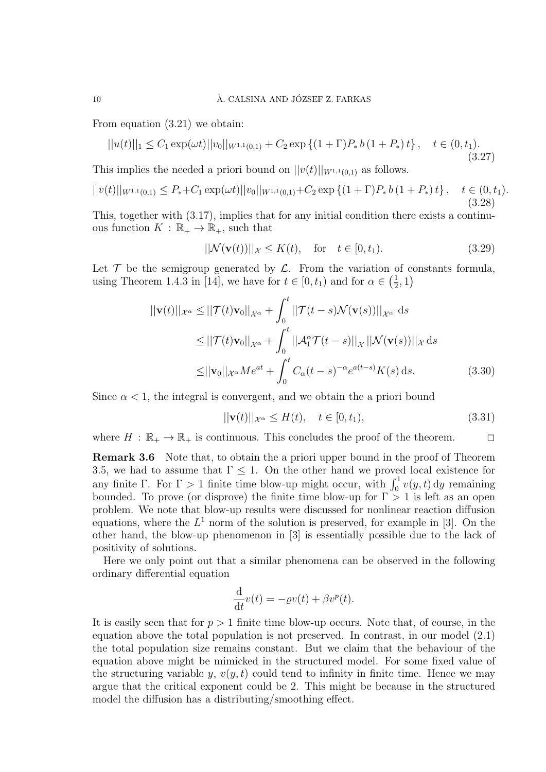From equation (3.21) we obtain:

$$
||u(t)||_1 \le C_1 \exp(\omega t) ||v_0||_{W^{1,1}(0,1)} + C_2 \exp\left\{(1+\Gamma)P_* b\left(1+P_*\right)t\right\}, \quad t \in (0,t_1).
$$
\n(3.27)

This implies the needed a priori bound on  $||v(t)||_{W^{1,1}(0,1)}$  as follows.

$$
||v(t)||_{W^{1,1}(0,1)} \le P_* + C_1 \exp(\omega t) ||v_0||_{W^{1,1}(0,1)} + C_2 \exp\left\{(1+\Gamma)P_* b\left(1+P_*\right)t\right\}, \quad t \in (0,t_1).
$$
\n(3.28)

This, together with (3.17), implies that for any initial condition there exists a continuous function  $K : \mathbb{R}_+ \to \mathbb{R}_+$ , such that

$$
||\mathcal{N}(\mathbf{v}(t))||_{\mathcal{X}} \le K(t), \quad \text{for} \quad t \in [0, t_1). \tag{3.29}
$$

Let  $\mathcal T$  be the semigroup generated by  $\mathcal L$ . From the variation of constants formula, using Theorem 1.4.3 in [14], we have for  $t \in [0, t_1)$  and for  $\alpha \in (\frac{1}{2})$  $(\frac{1}{2}, 1)$ 

$$
||\mathbf{v}(t)||_{\mathcal{X}^{\alpha}} \le ||\mathcal{T}(t)\mathbf{v}_{0}||_{\mathcal{X}^{\alpha}} + \int_{0}^{t} ||\mathcal{T}(t-s)\mathcal{N}(\mathbf{v}(s))||_{\mathcal{X}^{\alpha}} ds
$$
  
\n
$$
\le ||\mathcal{T}(t)\mathbf{v}_{0}||_{\mathcal{X}^{\alpha}} + \int_{0}^{t} ||\mathcal{A}_{1}^{\alpha}\mathcal{T}(t-s)||_{\mathcal{X}} ||\mathcal{N}(\mathbf{v}(s))||_{\mathcal{X}} ds
$$
  
\n
$$
\le ||\mathbf{v}_{0}||_{\mathcal{X}^{\alpha}} Me^{at} + \int_{0}^{t} C_{\alpha}(t-s)^{-\alpha} e^{a(t-s)} K(s) ds.
$$
 (3.30)

Since  $\alpha$  < 1, the integral is convergent, and we obtain the a priori bound

$$
\|\mathbf{v}(t)\|_{\mathcal{X}^{\alpha}} \le H(t), \quad t \in [0, t_1), \tag{3.31}
$$

where  $H : \mathbb{R}_+ \to \mathbb{R}_+$  is continuous. This concludes the proof of the theorem.

Remark 3.6 Note that, to obtain the a priori upper bound in the proof of Theorem 3.5, we had to assume that  $\Gamma \leq 1$ . On the other hand we proved local existence for any finite  $\Gamma$ . For  $\Gamma > 1$  finite time blow-up might occur, with  $\int_0^1 v(y, t) dy$  remaining bounded. To prove (or disprove) the finite time blow-up for  $\Gamma > 1$  is left as an open problem. We note that blow-up results were discussed for nonlinear reaction diffusion equations, where the  $L^1$  norm of the solution is preserved, for example in [3]. On the other hand, the blow-up phenomenon in [3] is essentially possible due to the lack of positivity of solutions.

Here we only point out that a similar phenomena can be observed in the following ordinary differential equation

$$
\frac{\mathrm{d}}{\mathrm{d}t}v(t) = -\varrho v(t) + \beta v^p(t).
$$

It is easily seen that for  $p > 1$  finite time blow-up occurs. Note that, of course, in the equation above the total population is not preserved. In contrast, in our model (2.1) the total population size remains constant. But we claim that the behaviour of the equation above might be mimicked in the structured model. For some fixed value of the structuring variable y,  $v(y, t)$  could tend to infinity in finite time. Hence we may argue that the critical exponent could be 2. This might be because in the structured model the diffusion has a distributing/smoothing effect.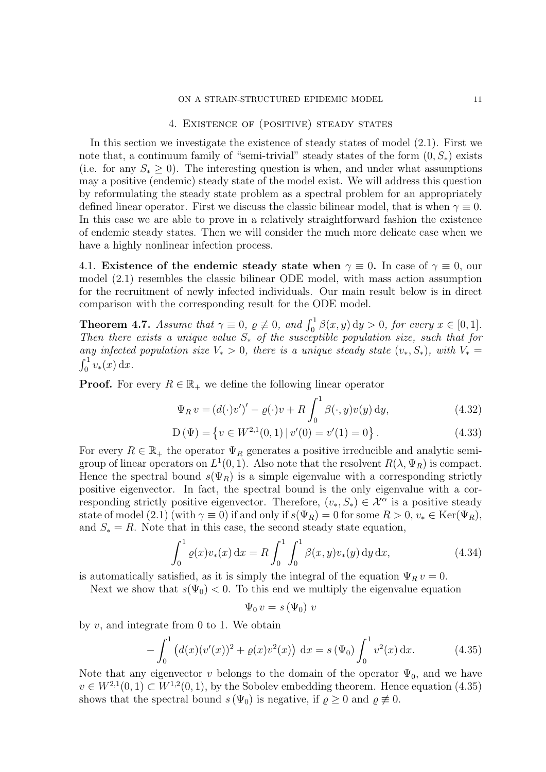### 4. EXISTENCE OF (POSITIVE) STEADY STATES

In this section we investigate the existence of steady states of model (2.1). First we note that, a continuum family of "semi-trivial" steady states of the form  $(0, S_*)$  exists (i.e. for any  $S_* > 0$ ). The interesting question is when, and under what assumptions may a positive (endemic) steady state of the model exist. We will address this question by reformulating the steady state problem as a spectral problem for an appropriately defined linear operator. First we discuss the classic bilinear model, that is when  $\gamma \equiv 0$ . In this case we are able to prove in a relatively straightforward fashion the existence of endemic steady states. Then we will consider the much more delicate case when we have a highly nonlinear infection process.

4.1. Existence of the endemic steady state when  $\gamma \equiv 0$ . In case of  $\gamma \equiv 0$ , our model (2.1) resembles the classic bilinear ODE model, with mass action assumption for the recruitment of newly infected individuals. Our main result below is in direct comparison with the corresponding result for the ODE model.

**Theorem 4.7.** Assume that  $\gamma \equiv 0$ ,  $\rho \not\equiv 0$ , and  $\int_0^1 \beta(x, y) dy > 0$ , for every  $x \in [0, 1]$ . Then there exists a unique value  $S_{\ast}$  of the susceptible population size, such that for any infected population size  $V_* > 0$ , there is a unique steady state  $(v_*, S_*)$ , with  $V_* =$  $\int_0^1 v_*(x) \, dx.$ 

**Proof.** For every  $R \in \mathbb{R}_+$  we define the following linear operator

$$
\Psi_R v = \left(d(\cdot)v'\right)' - \varrho(\cdot)v + R \int_0^1 \beta(\cdot, y)v(y) \,dy,\tag{4.32}
$$

$$
D(\Psi) = \{ v \in W^{2,1}(0,1) | v'(0) = v'(1) = 0 \}.
$$
 (4.33)

For every  $R \in \mathbb{R}_+$  the operator  $\Psi_R$  generates a positive irreducible and analytic semigroup of linear operators on  $L^1(0,1)$ . Also note that the resolvent  $R(\lambda, \Psi_R)$  is compact. Hence the spectral bound  $s(\Psi_R)$  is a simple eigenvalue with a corresponding strictly positive eigenvector. In fact, the spectral bound is the only eigenvalue with a corresponding strictly positive eigenvector. Therefore,  $(v_*, S_*) \in \mathcal{X}^{\alpha}$  is a positive steady state of model (2.1) (with  $\gamma \equiv 0$ ) if and only if  $s(\Psi_R) = 0$  for some  $R > 0$ ,  $v_* \in \text{Ker}(\Psi_R)$ , and  $S_* = R$ . Note that in this case, the second steady state equation,

$$
\int_0^1 \varrho(x) v_*(x) dx = R \int_0^1 \int_0^1 \beta(x, y) v_*(y) dy dx, \tag{4.34}
$$

is automatically satisfied, as it is simply the integral of the equation  $\Psi_R v = 0$ .

Next we show that  $s(\Psi_0) < 0$ . To this end we multiply the eigenvalue equation

$$
\Psi_0\,v = s\,(\Psi_0)\,v
$$

by v, and integrate from 0 to 1. We obtain

$$
-\int_0^1 (d(x)(v'(x))^2 + \varrho(x)v^2(x)) \, dx = s(\Psi_0) \int_0^1 v^2(x) \, dx. \tag{4.35}
$$

Note that any eigenvector v belongs to the domain of the operator  $\Psi_0$ , and we have  $v \in W^{2,1}(0,1) \subset W^{1,2}(0,1)$ , by the Sobolev embedding theorem. Hence equation (4.35) shows that the spectral bound  $s(\Psi_0)$  is negative, if  $\rho \geq 0$  and  $\rho \neq 0$ .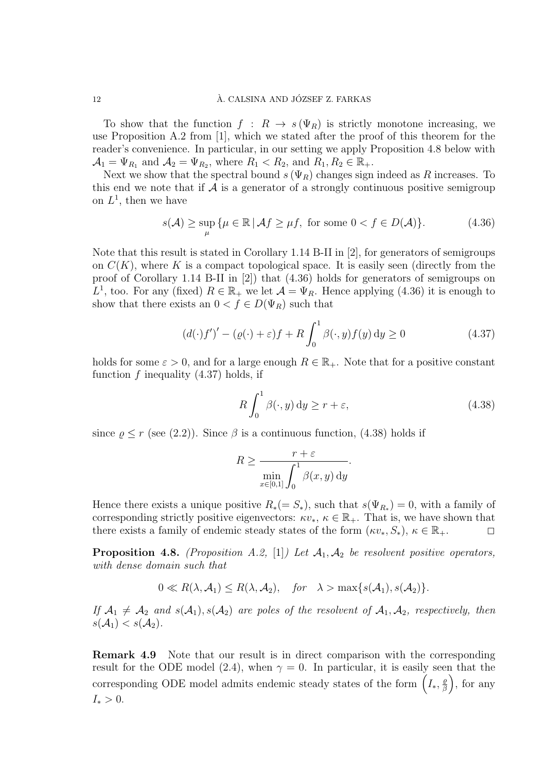#### 12 A. CALSINA AND JÓZSEF Z. FARKAS

To show that the function  $f : R \to s(\Psi_R)$  is strictly monotone increasing, we use Proposition A.2 from [1], which we stated after the proof of this theorem for the reader's convenience. In particular, in our setting we apply Proposition 4.8 below with  $\mathcal{A}_1 = \Psi_{R_1}$  and  $\mathcal{A}_2 = \Psi_{R_2}$ , where  $R_1 < R_2$ , and  $R_1, R_2 \in \mathbb{R}_+$ .

Next we show that the spectral bound  $s(\Psi_R)$  changes sign indeed as R increases. To this end we note that if  $\mathcal A$  is a generator of a strongly continuous positive semigroup on  $L^1$ , then we have

$$
s(\mathcal{A}) \ge \sup_{\mu} \{ \mu \in \mathbb{R} \, | \, \mathcal{A}f \ge \mu f, \text{ for some } 0 < f \in D(\mathcal{A}) \}. \tag{4.36}
$$

Note that this result is stated in Corollary 1.14 B-II in [2], for generators of semigroups on  $C(K)$ , where K is a compact topological space. It is easily seen (directly from the proof of Corollary 1.14 B-II in [2]) that (4.36) holds for generators of semigroups on L<sup>1</sup>, too. For any (fixed)  $R \in \mathbb{R}_+$  we let  $\mathcal{A} = \Psi_R$ . Hence applying (4.36) it is enough to show that there exists an  $0 < f \in D(\Psi_R)$  such that

$$
\left(d(\cdot)f'\right)' - \left(\varrho(\cdot) + \varepsilon\right)f + R \int_0^1 \beta(\cdot, y)f(y) \, \mathrm{d}y \ge 0 \tag{4.37}
$$

holds for some  $\varepsilon > 0$ , and for a large enough  $R \in \mathbb{R}_+$ . Note that for a positive constant function  $f$  inequality  $(4.37)$  holds, if

$$
R\int_0^1 \beta(\cdot, y) \, \mathrm{d}y \ge r + \varepsilon,\tag{4.38}
$$

since  $\rho \le r$  (see (2.2)). Since  $\beta$  is a continuous function, (4.38) holds if

$$
R \ge \frac{r+\varepsilon}{\min_{x \in [0,1]} \int_0^1 \beta(x,y) \, dy}.
$$

Hence there exists a unique positive  $R_*(=S_*)$ , such that  $s(\Psi_{R_*})=0$ , with a family of corresponding strictly positive eigenvectors:  $\kappa v_*, \kappa \in \mathbb{R}_+$ . That is, we have shown that there exists a family of endemic steady states of the form  $(\kappa v_*, S_*, \kappa \in \mathbb{R}_+$ .

**Proposition 4.8.** (Proposition A.2, [1]) Let  $A_1, A_2$  be resolvent positive operators, with dense domain such that

$$
0 \ll R(\lambda, \mathcal{A}_1) \le R(\lambda, \mathcal{A}_2), \quad \text{for} \quad \lambda > \max\{s(\mathcal{A}_1), s(\mathcal{A}_2)\}.
$$

If  $A_1 \neq A_2$  and  $s(A_1), s(A_2)$  are poles of the resolvent of  $A_1, A_2$ , respectively, then  $s(\mathcal{A}_1) < s(\mathcal{A}_2).$ 

Remark 4.9 Note that our result is in direct comparison with the corresponding result for the ODE model (2.4), when  $\gamma = 0$ . In particular, it is easily seen that the corresponding ODE model admits endemic steady states of the form  $\left(I_*, \frac{\rho}{\beta}\right)$  $\frac{\varrho}{\beta}$ , for any  $I_* > 0.$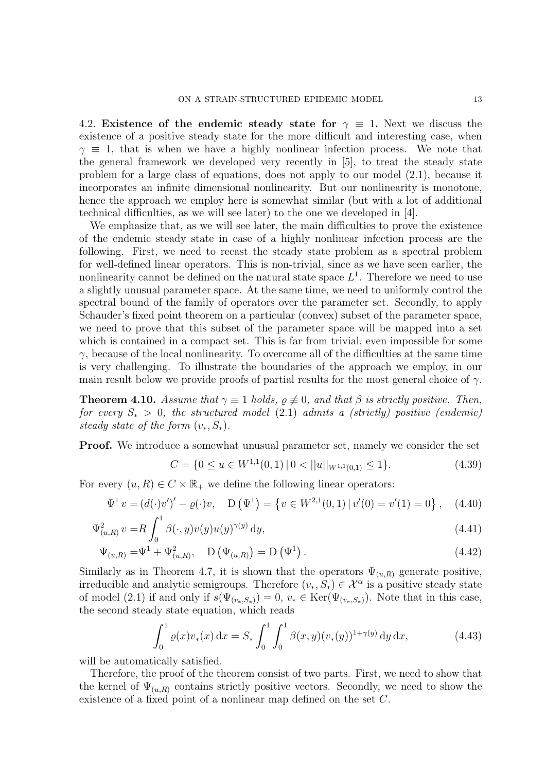4.2. Existence of the endemic steady state for  $\gamma \equiv 1$ . Next we discuss the existence of a positive steady state for the more difficult and interesting case, when  $\gamma \equiv 1$ , that is when we have a highly nonlinear infection process. We note that the general framework we developed very recently in [5], to treat the steady state problem for a large class of equations, does not apply to our model (2.1), because it incorporates an infinite dimensional nonlinearity. But our nonlinearity is monotone, hence the approach we employ here is somewhat similar (but with a lot of additional technical difficulties, as we will see later) to the one we developed in [4].

We emphasize that, as we will see later, the main difficulties to prove the existence of the endemic steady state in case of a highly nonlinear infection process are the following. First, we need to recast the steady state problem as a spectral problem for well-defined linear operators. This is non-trivial, since as we have seen earlier, the nonlinearity cannot be defined on the natural state space  $L^1$ . Therefore we need to use a slightly unusual parameter space. At the same time, we need to uniformly control the spectral bound of the family of operators over the parameter set. Secondly, to apply Schauder's fixed point theorem on a particular (convex) subset of the parameter space, we need to prove that this subset of the parameter space will be mapped into a set which is contained in a compact set. This is far from trivial, even impossible for some  $\gamma$ , because of the local nonlinearity. To overcome all of the difficulties at the same time is very challenging. To illustrate the boundaries of the approach we employ, in our main result below we provide proofs of partial results for the most general choice of  $\gamma$ .

**Theorem 4.10.** Assume that  $\gamma \equiv 1$  holds,  $\rho \not\equiv 0$ , and that  $\beta$  is strictly positive. Then, for every  $S_* > 0$ , the structured model (2.1) admits a (strictly) positive (endemic) steady state of the form  $(v_*, S_*)$ .

Proof. We introduce a somewhat unusual parameter set, namely we consider the set

$$
C = \{0 \le u \in W^{1,1}(0,1) \mid 0 < ||u||_{W^{1,1}(0,1)} \le 1\}.\tag{4.39}
$$

For every  $(u, R) \in C \times \mathbb{R}_+$  we define the following linear operators:

$$
\Psi^1 v = (d(\cdot)v')' - \varrho(\cdot)v, \quad D(\Psi^1) = \{v \in W^{2,1}(0,1) \mid v'(0) = v'(1) = 0\}, \quad (4.40)
$$

$$
\Psi_{(u,R)}^2 v = R \int_0^1 \beta(\cdot, y) v(y) u(y)^{\gamma(y)} dy,
$$
\n(4.41)

$$
\Psi_{(u,R)} = \Psi^1 + \Psi^2_{(u,R)}, \quad D(\Psi_{(u,R)}) = D(\Psi^1).
$$
\n(4.42)

Similarly as in Theorem 4.7, it is shown that the operators  $\Psi_{(u,R)}$  generate positive, irreducible and analytic semigroups. Therefore  $(v_*, S_*) \in \mathcal{X}^{\alpha}$  is a positive steady state of model (2.1) if and only if  $s(\Psi_{(v_*,S_*)})=0, v_* \in \text{Ker}(\Psi_{(v_*,S_*)})$ . Note that in this case, the second steady state equation, which reads

$$
\int_0^1 \varrho(x) v_*(x) \, \mathrm{d}x = S_* \int_0^1 \int_0^1 \beta(x, y) (v_*(y))^{1 + \gamma(y)} \, \mathrm{d}y \, \mathrm{d}x,\tag{4.43}
$$

will be automatically satisfied.

Therefore, the proof of the theorem consist of two parts. First, we need to show that the kernel of  $\Psi_{(u,R)}$  contains strictly positive vectors. Secondly, we need to show the existence of a fixed point of a nonlinear map defined on the set C.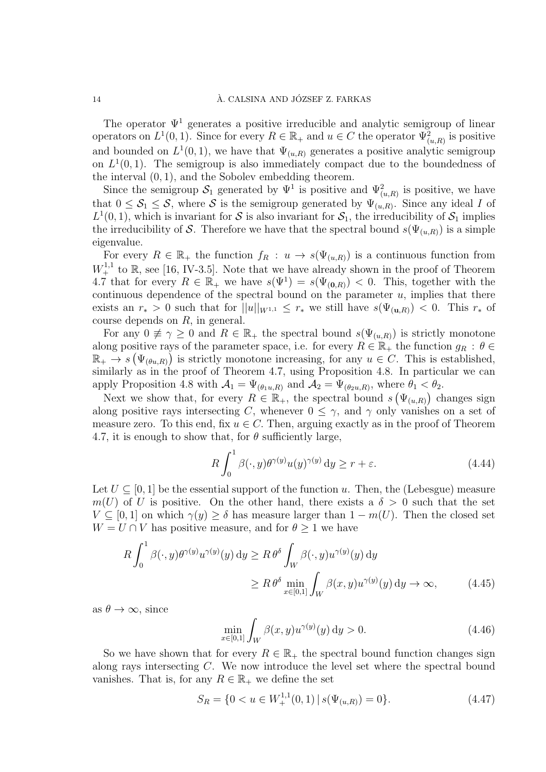The operator  $\Psi^1$  generates a positive irreducible and analytic semigroup of linear operators on  $L^1(0,1)$ . Since for every  $R \in \mathbb{R}_+$  and  $u \in C$  the operator  $\Psi^2_{(u,R)}$  is positive and bounded on  $L^1(0,1)$ , we have that  $\Psi_{(u,R)}$  generates a positive analytic semigroup on  $L^1(0,1)$ . The semigroup is also immediately compact due to the boundedness of the interval (0, 1), and the Sobolev embedding theorem.

Since the semigroup  $S_1$  generated by  $\Psi^1$  is positive and  $\Psi^2_{(u,R)}$  is positive, we have that  $0 \leq S_1 \leq S$ , where S is the semigroup generated by  $\Psi_{(u,R)}$ . Since any ideal I of  $L^1(0,1)$ , which is invariant for S is also invariant for  $S_1$ , the irreducibility of  $S_1$  implies the irreducibility of S. Therefore we have that the spectral bound  $s(\Psi_{(u,R)})$  is a simple eigenvalue.

For every  $R \in \mathbb{R}_+$  the function  $f_R : u \to s(\Psi_{(u,R)})$  is a continuous function from  $W^{1,1}_+$  to  $\mathbb R$ , see [16, IV-3.5]. Note that we have already shown in the proof of Theorem 4.7 that for every  $R \in \mathbb{R}_+$  we have  $s(\Psi^1) = s(\Psi_{(0,R)}) < 0$ . This, together with the continuous dependence of the spectral bound on the parameter  $u$ , implies that there exists an  $r_* > 0$  such that for  $||u||_{W^{1,1}} \leq r_*$  we still have  $s(\Psi_{(u,R)}) < 0$ . This  $r_*$  of course depends on R, in general.

For any  $0 \neq \gamma \geq 0$  and  $R \in \mathbb{R}_+$  the spectral bound  $s(\Psi_{(u,R)})$  is strictly monotone along positive rays of the parameter space, i.e. for every  $R \in \mathbb{R}_+$  the function  $g_R : \theta \in$  $\mathbb{R}_+ \to s(\Psi_{(\theta u,R)})$  is strictly monotone increasing, for any  $u \in C$ . This is established, similarly as in the proof of Theorem 4.7, using Proposition 4.8. In particular we can apply Proposition 4.8 with  $\mathcal{A}_1 = \Psi_{(\theta_1 u, R)}$  and  $\mathcal{A}_2 = \Psi_{(\theta_2 u, R)}$ , where  $\theta_1 < \theta_2$ .

Next we show that, for every  $R \in \mathbb{R}_+$ , the spectral bound  $s(\Psi_{(u,R)})$  changes sign along positive rays intersecting C, whenever  $0 \leq \gamma$ , and  $\gamma$  only vanishes on a set of measure zero. To this end, fix  $u \in C$ . Then, arguing exactly as in the proof of Theorem 4.7, it is enough to show that, for  $\theta$  sufficiently large,

$$
R\int_0^1 \beta(\cdot, y)\theta^{\gamma(y)} u(y)^{\gamma(y)} dy \ge r + \varepsilon.
$$
 (4.44)

Let  $U \subset [0, 1]$  be the essential support of the function u. Then, the (Lebesgue) measure  $m(U)$  of U is positive. On the other hand, there exists a  $\delta > 0$  such that the set  $V \subseteq [0,1]$  on which  $\gamma(y) \ge \delta$  has measure larger than  $1 - m(U)$ . Then the closed set  $W = U \cap V$  has positive measure, and for  $\theta > 1$  we have

$$
R \int_0^1 \beta(\cdot, y) \theta^{\gamma(y)} u^{\gamma(y)}(y) dy \ge R \theta^{\delta} \int_W \beta(\cdot, y) u^{\gamma(y)}(y) dy
$$
  
 
$$
\ge R \theta^{\delta} \min_{x \in [0,1]} \int_W \beta(x, y) u^{\gamma(y)}(y) dy \to \infty,
$$
 (4.45)

as  $\theta \to \infty$ , since

$$
\min_{x \in [0,1]} \int_{W} \beta(x,y) u^{\gamma(y)}(y) \, dy > 0. \tag{4.46}
$$

So we have shown that for every  $R \in \mathbb{R}_+$  the spectral bound function changes sign along rays intersecting C. We now introduce the level set where the spectral bound vanishes. That is, for any  $R \in \mathbb{R}_+$  we define the set

$$
S_R = \{0 < u \in W_+^{1,1}(0,1) \, | \, s(\Psi_{(u,R)}) = 0\}. \tag{4.47}
$$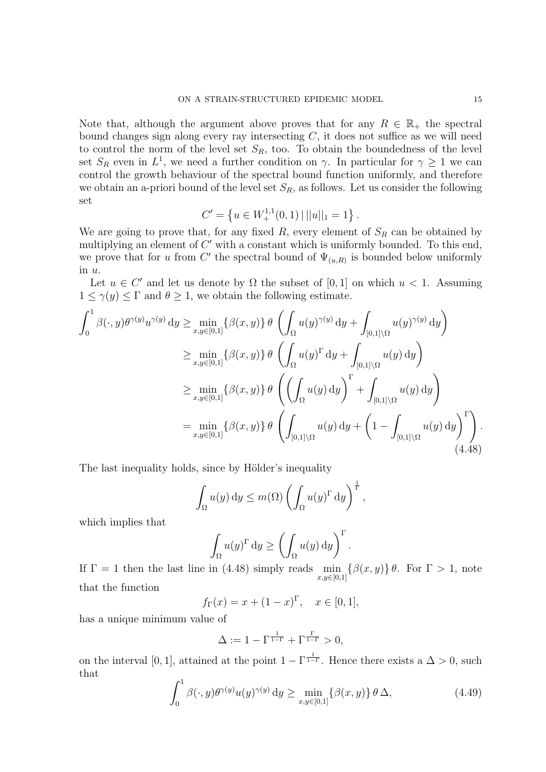Note that, although the argument above proves that for any  $R \in \mathbb{R}_+$  the spectral bound changes sign along every ray intersecting  $C$ , it does not suffice as we will need to control the norm of the level set  $S_R$ , too. To obtain the boundedness of the level set  $S_R$  even in  $L^1$ , we need a further condition on  $\gamma$ . In particular for  $\gamma \geq 1$  we can control the growth behaviour of the spectral bound function uniformly, and therefore we obtain an a-priori bound of the level set  $S_R$ , as follows. Let us consider the following set

$$
C' = \left\{ u \in W_+^{1,1}(0,1) \, | \, ||u||_1 = 1 \right\}.
$$

We are going to prove that, for any fixed  $R$ , every element of  $S_R$  can be obtained by multiplying an element of  $C'$  with a constant which is uniformly bounded. To this end, we prove that for u from C' the spectral bound of  $\Psi_{(u,R)}$  is bounded below uniformly in u.

Let  $u \in C'$  and let us denote by  $\Omega$  the subset of [0, 1] on which  $u < 1$ . Assuming  $1 \leq \gamma(y) \leq \Gamma$  and  $\theta \geq 1$ , we obtain the following estimate.

$$
\int_0^1 \beta(\cdot, y) \theta^{\gamma(y)} u^{\gamma(y)} dy \ge \min_{x, y \in [0,1]} \{ \beta(x, y) \} \theta \left( \int_{\Omega} u(y)^{\gamma(y)} dy + \int_{[0,1] \setminus \Omega} u(y)^{\gamma(y)} dy \right)
$$
  
\n
$$
\ge \min_{x, y \in [0,1]} \{ \beta(x, y) \} \theta \left( \int_{\Omega} u(y)^{\Gamma} dy + \int_{[0,1] \setminus \Omega} u(y) dy \right)
$$
  
\n
$$
\ge \min_{x, y \in [0,1]} \{ \beta(x, y) \} \theta \left( \left( \int_{\Omega} u(y) dy \right)^{\Gamma} + \int_{[0,1] \setminus \Omega} u(y) dy \right)
$$
  
\n
$$
= \min_{x, y \in [0,1]} \{ \beta(x, y) \} \theta \left( \int_{[0,1] \setminus \Omega} u(y) dy + \left( 1 - \int_{[0,1] \setminus \Omega} u(y) dy \right)^{\Gamma} \right).
$$
\n(4.48)

The last inequality holds, since by Hölder's inequality

$$
\int_{\Omega} u(y) dy \le m(\Omega) \left( \int_{\Omega} u(y)^{\Gamma} dy \right)^{\frac{1}{\Gamma}},
$$

which implies that

$$
\int_{\Omega} u(y)^{\Gamma} dy \ge \left( \int_{\Omega} u(y) dy \right)^{\Gamma}.
$$

If  $\Gamma = 1$  then the last line in (4.48) simply reads  $\min_{x,y\in[0,1]} \{\beta(x,y)\}\theta$ . For  $\Gamma > 1$ , note that the function

$$
f_{\Gamma}(x) = x + (1 - x)^{\Gamma}, \quad x \in [0, 1],
$$

has a unique minimum value of

$$
\Delta := 1 - \Gamma^{\frac{1}{1-\Gamma}} + \Gamma^{\frac{\Gamma}{1-\Gamma}} > 0,
$$

on the interval [0, 1], attained at the point  $1 - \Gamma^{\frac{1}{1-\Gamma}}$ . Hence there exists a  $\Delta > 0$ , such that

$$
\int_0^1 \beta(\cdot, y)\theta^{\gamma(y)} u(y)^{\gamma(y)} dy \ge \min_{x, y \in [0,1]} \{\beta(x, y)\} \theta \Delta,
$$
\n(4.49)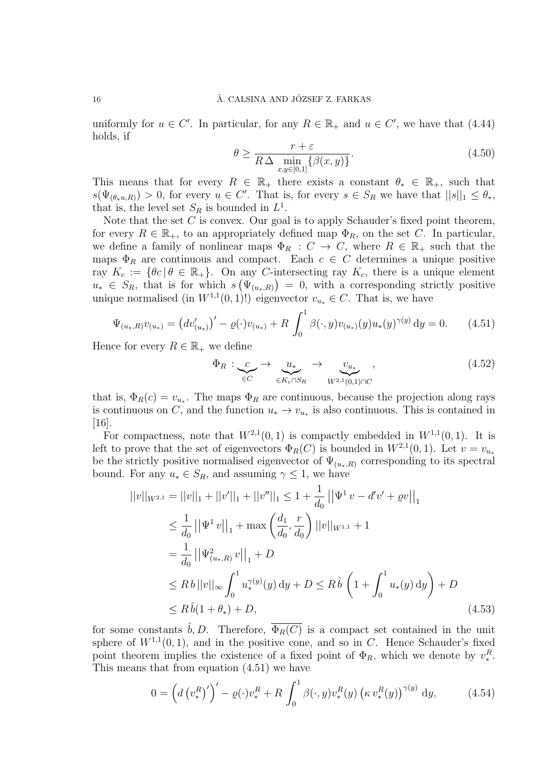uniformly for  $u \in C'$ . In particular, for any  $R \in \mathbb{R}_+$  and  $u \in C'$ , we have that (4.44) holds, if

$$
\theta \ge \frac{r+\varepsilon}{R\,\Delta \min\limits_{x,y\in[0,1]}\{\beta(x,y)\}}.\tag{4.50}
$$

This means that for every  $R \in \mathbb{R}_+$  there exists a constant  $\theta_* \in \mathbb{R}_+$ , such that  $s(\Psi_{(\theta_*u,R)}) > 0$ , for every  $u \in C'$ . That is, for every  $s \in S_R$  we have that  $||s||_1 \leq \theta_*$ , that is, the level set  $S_R$  is bounded in  $L^1$ .

Note that the set  $C$  is convex. Our goal is to apply Schauder's fixed point theorem, for every  $R \in \mathbb{R}_+$ , to an appropriately defined map  $\Phi_R$ , on the set C. In particular, we define a family of nonlinear maps  $\Phi_R : C \to C$ , where  $R \in \mathbb{R}_+$  such that the maps  $\Phi_R$  are continuous and compact. Each  $c \in C$  determines a unique positive ray  $K_c := \{ \theta c \mid \theta \in \mathbb{R}_+ \}.$  On any C-intersecting ray  $K_c$ , there is a unique element  $u_* \in S_R$ , that is for which  $s(\Psi_{(u_*,R)}) = 0$ , with a corresponding strictly positive unique normalised (in  $W^{1,1}(0,1)!$ ) eigenvector  $v_{u_*} \in C$ . That is, we have

$$
\Psi_{(u_*,R)}v_{(u_*)} = \left(dv'_{(u_*)}\right)' - \varrho(\cdot)v_{(u_*)} + R \int_0^1 \beta(\cdot,y)v_{(u_*)}(y)u_*(y)^{\gamma(y)} dy = 0. \tag{4.51}
$$

Hence for every  $R \in \mathbb{R}_+$  we define

$$
\Phi_R: \underbrace{c}_{\in C} \to \underbrace{u_*}{\in K_c \cap S_R} \to \underbrace{v_{u_*}}_{W^{2,1}(0,1)\cap C}, \tag{4.52}
$$

that is,  $\Phi_R(c) = v_{u_*}$ . The maps  $\Phi_R$  are continuous, because the projection along rays is continuous on C, and the function  $u_* \to v_{u_*}$  is also continuous. This is contained in [16].

For compactness, note that  $W^{2,1}(0,1)$  is compactly embedded in  $W^{1,1}(0,1)$ . It is left to prove that the set of eigenvectors  $\Phi_R(C)$  is bounded in  $W^{2,1}(0,1)$ . Let  $v = v_{u_*}$ be the strictly positive normalised eigenvector of  $\Psi_{(u_*,R)}$  corresponding to its spectral bound. For any  $u_* \in S_R$ , and assuming  $\gamma \leq 1$ , we have

$$
||v||_{W^{2,1}} = ||v||_1 + ||v'||_1 + ||v''||_1 \le 1 + \frac{1}{d_0} ||\Psi^1 v - d'v' + \varrho v||_1
$$
  
\n
$$
\le \frac{1}{d_0} ||\Psi^1 v||_1 + \max\left(\frac{d_1}{d_0}, \frac{r}{d_0}\right) ||v||_{W^{1,1}} + 1
$$
  
\n
$$
= \frac{1}{d_0} ||\Psi^2_{(u_*,R)} v||_1 + D
$$
  
\n
$$
\le R b ||v||_{\infty} \int_0^1 u_*^{\gamma(y)}(y) dy + D \le R \hat{b} \left(1 + \int_0^1 u_*(y) dy\right) + D
$$
  
\n
$$
\le R \hat{b}(1 + \theta_*) + D,
$$
\n(4.53)

for some constants  $\hat{b}, D$ . Therefore,  $\overline{\Phi_R(C)}$  is a compact set contained in the unit sphere of  $W^{1,1}(0,1)$ , and in the positive cone, and so in C. Hence Schauder's fixed point theorem implies the existence of a fixed point of  $\Phi_R$ , which we denote by  $v_*^R$ . This means that from equation (4.51) we have

$$
0 = \left(d\left(v_{*}^{R}\right)'\right)' - \varrho(\cdot)v_{*}^{R} + R \int_{0}^{1} \beta(\cdot,y)v_{*}^{R}(y)\left(\kappa v_{*}^{R}(y)\right)^{\gamma(y)} dy, \tag{4.54}
$$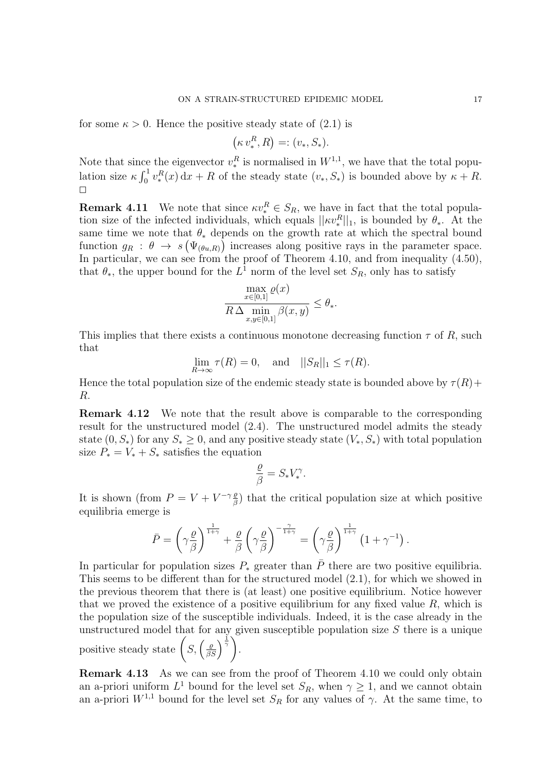for some  $\kappa > 0$ . Hence the positive steady state of  $(2.1)$  is

$$
(\kappa v_*^R, R) =: (v_*, S_*).
$$

Note that since the eigenvector  $v_*^R$  is normalised in  $W^{1,1}$ , we have that the total population size  $\kappa \int_0^1 v^R_*(x) dx + R$  of the steady state  $(v_*, S_*)$  is bounded above by  $\kappa + R$ .  $\Box$ 

**Remark 4.11** We note that since  $\kappa v_*^R \in S_R$ , we have in fact that the total population size of the infected individuals, which equals  $||\kappa v_*^R||_1$ , is bounded by  $\theta_*$ . At the same time we note that  $\theta_*$  depends on the growth rate at which the spectral bound function  $g_R : \theta \to s(\Psi_{(\theta u,R)})$  increases along positive rays in the parameter space. In particular, we can see from the proof of Theorem 4.10, and from inequality (4.50), that  $\theta_*$ , the upper bound for the  $L^1$  norm of the level set  $S_R$ , only has to satisfy

$$
\frac{\max\limits_{x\in[0,1]}\varrho(x)}{R\,\Delta\min\limits_{x,y\in[0,1]}\beta(x,y)}\leq\theta_{*}.
$$

This implies that there exists a continuous monotone decreasing function  $\tau$  of R, such that

$$
\lim_{R \to \infty} \tau(R) = 0, \text{ and } ||S_R||_1 \le \tau(R).
$$

Hence the total population size of the endemic steady state is bounded above by  $\tau(R)$ + R.

Remark 4.12 We note that the result above is comparable to the corresponding result for the unstructured model (2.4). The unstructured model admits the steady state  $(0, S_*)$  for any  $S_* \geq 0$ , and any positive steady state  $(V_*, S_*)$  with total population size  $P_* = V_* + S_*$  satisfies the equation

$$
\frac{\varrho}{\beta} = S_* V_*^{\gamma}.
$$

It is shown (from  $P = V + V^{-\gamma} \frac{\rho}{\beta}$  $\frac{g}{\beta}$ ) that the critical population size at which positive equilibria emerge is

$$
\bar{P} = \left(\gamma \frac{\varrho}{\beta}\right)^{\frac{1}{1+\gamma}} + \frac{\varrho}{\beta} \left(\gamma \frac{\varrho}{\beta}\right)^{-\frac{\gamma}{1+\gamma}} = \left(\gamma \frac{\varrho}{\beta}\right)^{\frac{1}{1+\gamma}} \left(1 + \gamma^{-1}\right).
$$

In particular for population sizes  $P_*$  greater than  $\overline{P}$  there are two positive equilibria. This seems to be different than for the structured model (2.1), for which we showed in the previous theorem that there is (at least) one positive equilibrium. Notice however that we proved the existence of a positive equilibrium for any fixed value  $R$ , which is the population size of the susceptible individuals. Indeed, it is the case already in the unstructured model that for any given susceptible population size  $S$  there is a unique positive steady state  $(S, \left(\frac{\varrho}{\beta S}\right)^{\frac{1}{\gamma}})$ .

Remark 4.13 As we can see from the proof of Theorem 4.10 we could only obtain an a-priori uniform  $L^1$  bound for the level set  $S_R$ , when  $\gamma \geq 1$ , and we cannot obtain an a-priori  $W^{1,1}$  bound for the level set  $S_R$  for any values of  $\gamma$ . At the same time, to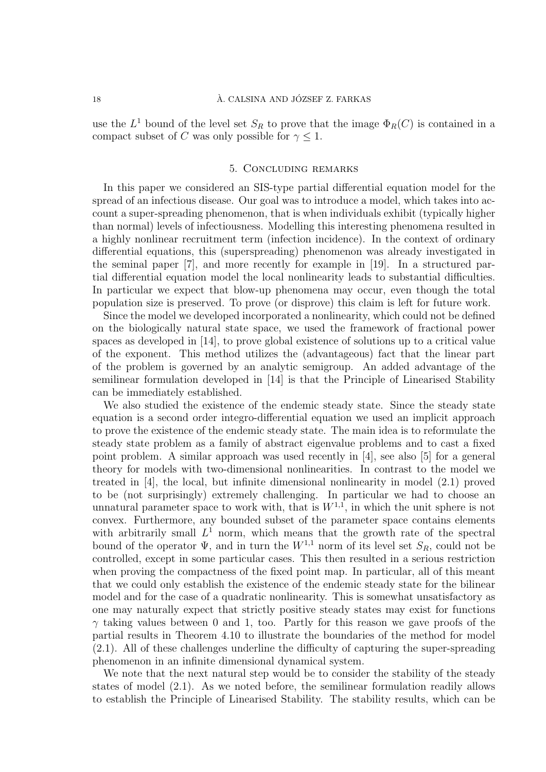### 18 A. CALSINA AND JÓZSEF Z. FARKAS

use the  $L^1$  bound of the level set  $S_R$  to prove that the image  $\Phi_R(C)$  is contained in a compact subset of C was only possible for  $\gamma \leq 1$ .

## 5. Concluding remarks

In this paper we considered an SIS-type partial differential equation model for the spread of an infectious disease. Our goal was to introduce a model, which takes into account a super-spreading phenomenon, that is when individuals exhibit (typically higher than normal) levels of infectiousness. Modelling this interesting phenomena resulted in a highly nonlinear recruitment term (infection incidence). In the context of ordinary differential equations, this (superspreading) phenomenon was already investigated in the seminal paper [7], and more recently for example in [19]. In a structured partial differential equation model the local nonlinearity leads to substantial difficulties. In particular we expect that blow-up phenomena may occur, even though the total population size is preserved. To prove (or disprove) this claim is left for future work.

Since the model we developed incorporated a nonlinearity, which could not be defined on the biologically natural state space, we used the framework of fractional power spaces as developed in [14], to prove global existence of solutions up to a critical value of the exponent. This method utilizes the (advantageous) fact that the linear part of the problem is governed by an analytic semigroup. An added advantage of the semilinear formulation developed in [14] is that the Principle of Linearised Stability can be immediately established.

We also studied the existence of the endemic steady state. Since the steady state equation is a second order integro-differential equation we used an implicit approach to prove the existence of the endemic steady state. The main idea is to reformulate the steady state problem as a family of abstract eigenvalue problems and to cast a fixed point problem. A similar approach was used recently in [4], see also [5] for a general theory for models with two-dimensional nonlinearities. In contrast to the model we treated in [4], the local, but infinite dimensional nonlinearity in model (2.1) proved to be (not surprisingly) extremely challenging. In particular we had to choose an unnatural parameter space to work with, that is  $W^{1,1}$ , in which the unit sphere is not convex. Furthermore, any bounded subset of the parameter space contains elements with arbitrarily small  $L^1$  norm, which means that the growth rate of the spectral bound of the operator  $\Psi$ , and in turn the  $W^{1,1}$  norm of its level set  $S_R$ , could not be controlled, except in some particular cases. This then resulted in a serious restriction when proving the compactness of the fixed point map. In particular, all of this meant that we could only establish the existence of the endemic steady state for the bilinear model and for the case of a quadratic nonlinearity. This is somewhat unsatisfactory as one may naturally expect that strictly positive steady states may exist for functions  $\gamma$  taking values between 0 and 1, too. Partly for this reason we gave proofs of the partial results in Theorem 4.10 to illustrate the boundaries of the method for model (2.1). All of these challenges underline the difficulty of capturing the super-spreading phenomenon in an infinite dimensional dynamical system.

We note that the next natural step would be to consider the stability of the steady states of model (2.1). As we noted before, the semilinear formulation readily allows to establish the Principle of Linearised Stability. The stability results, which can be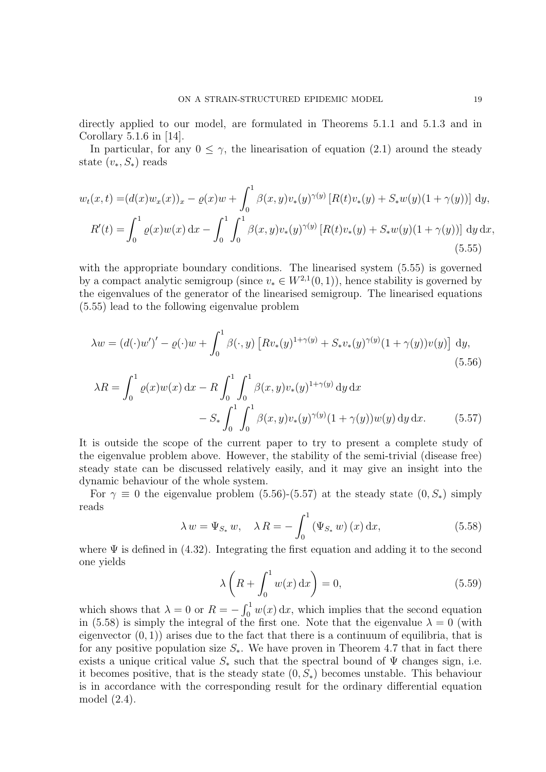directly applied to our model, are formulated in Theorems 5.1.1 and 5.1.3 and in Corollary 5.1.6 in [14].

In particular, for any  $0 \leq \gamma$ , the linearisation of equation (2.1) around the steady state  $(v_*, S_*)$  reads

$$
w_t(x,t) = (d(x)w_x(x))_x - \varrho(x)w + \int_0^1 \beta(x,y)v_*(y)^{\gamma(y)} \left[ R(t)v_*(y) + S_*w(y)(1+\gamma(y)) \right] dy,
$$
  

$$
R'(t) = \int_0^1 \varrho(x)w(x) dx - \int_0^1 \int_0^1 \beta(x,y)v_*(y)^{\gamma(y)} \left[ R(t)v_*(y) + S_*w(y)(1+\gamma(y)) \right] dy dx,
$$
(5.55)

with the appropriate boundary conditions. The linearised system  $(5.55)$  is governed by a compact analytic semigroup (since  $v_* \in W^{2,1}(0,1)$ ), hence stability is governed by the eigenvalues of the generator of the linearised semigroup. The linearised equations (5.55) lead to the following eigenvalue problem

$$
\lambda w = (d(\cdot)w')' - \varrho(\cdot)w + \int_0^1 \beta(\cdot, y) \left[ R v_*(y)^{1+\gamma(y)} + S_* v_*(y)^{\gamma(y)} (1+\gamma(y)) v(y) \right] dy,
$$
\n(5.56)

$$
\lambda R = \int_0^1 \varrho(x) w(x) dx - R \int_0^1 \int_0^1 \beta(x, y) v_*(y)^{1 + \gamma(y)} dy dx
$$
  
- S\_\* \int\_0^1 \int\_0^1 \beta(x, y) v\_\*(y)^{\gamma(y)} (1 + \gamma(y)) w(y) dy dx. (5.57)

It is outside the scope of the current paper to try to present a complete study of the eigenvalue problem above. However, the stability of the semi-trivial (disease free) steady state can be discussed relatively easily, and it may give an insight into the dynamic behaviour of the whole system.

For  $\gamma \equiv 0$  the eigenvalue problem (5.56)-(5.57) at the steady state  $(0, S_*)$  simply reads

$$
\lambda w = \Psi_{S_*} w, \quad \lambda R = -\int_0^1 (\Psi_{S_*} w)(x) \, dx,\tag{5.58}
$$

where  $\Psi$  is defined in (4.32). Integrating the first equation and adding it to the second one yields

$$
\lambda \left( R + \int_0^1 w(x) \, \mathrm{d}x \right) = 0,\tag{5.59}
$$

which shows that  $\lambda = 0$  or  $R = -\int_0^1 w(x) dx$ , which implies that the second equation in (5.58) is simply the integral of the first one. Note that the eigenvalue  $\lambda = 0$  (with eigenvector  $(0, 1)$  arises due to the fact that there is a continuum of equilibria, that is for any positive population size  $S_{*}$ . We have proven in Theorem 4.7 that in fact there exists a unique critical value  $S_*$  such that the spectral bound of  $\Psi$  changes sign, i.e. it becomes positive, that is the steady state  $(0, S_*)$  becomes unstable. This behaviour is in accordance with the corresponding result for the ordinary differential equation model (2.4).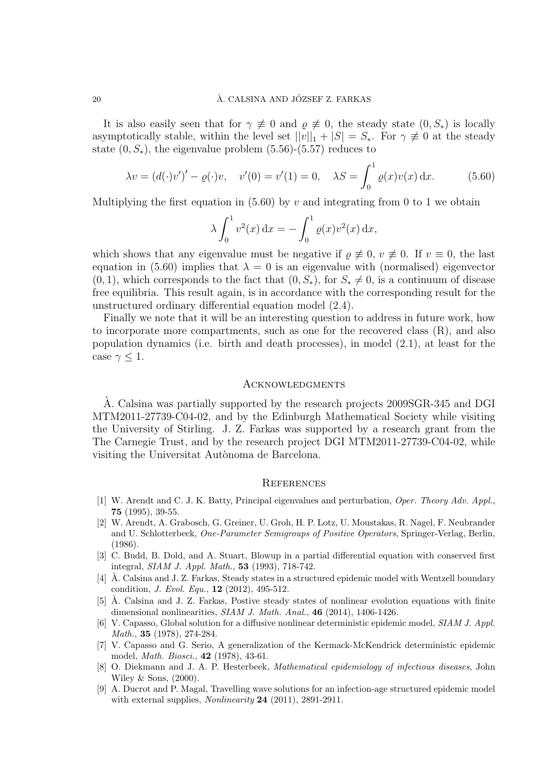It is also easily seen that for  $\gamma \neq 0$  and  $\rho \neq 0$ , the steady state  $(0, S_*)$  is locally asymptotically stable, within the level set  $||v||_1 + |S| = S_*$ . For  $\gamma \neq 0$  at the steady state  $(0, S_*)$ , the eigenvalue problem  $(5.56)$ - $(5.57)$  reduces to

$$
\lambda v = (d(\cdot)v')' - \varrho(\cdot)v, \quad v'(0) = v'(1) = 0, \quad \lambda S = \int_0^1 \varrho(x)v(x) \, dx. \tag{5.60}
$$

Multiplying the first equation in (5.60) by v and integrating from 0 to 1 we obtain

$$
\lambda \int_0^1 v^2(x) dx = - \int_0^1 \varrho(x) v^2(x) dx,
$$

which shows that any eigenvalue must be negative if  $\rho \neq 0$ ,  $v \neq 0$ . If  $v \equiv 0$ , the last equation in (5.60) implies that  $\lambda = 0$  is an eigenvalue with (normalised) eigenvector  $(0, 1)$ , which corresponds to the fact that  $(0, S_*)$ , for  $S_* \neq 0$ , is a continuum of disease free equilibria. This result again, is in accordance with the corresponding result for the unstructured ordinary differential equation model (2.4).

Finally we note that it will be an interesting question to address in future work, how to incorporate more compartments, such as one for the recovered class  $(R)$ , and also population dynamics (i.e. birth and death processes), in model (2.1), at least for the case  $\gamma \leq 1$ .

#### **ACKNOWLEDGMENTS**

A. Calsina was partially supported by the research projects 2009SGR-345 and DGI ` MTM2011-27739-C04-02, and by the Edinburgh Mathematical Society while visiting the University of Stirling. J. Z. Farkas was supported by a research grant from the The Carnegie Trust, and by the research project DGI MTM2011-27739-C04-02, while visiting the Universitat Autònoma de Barcelona.

#### **REFERENCES**

- [1] W. Arendt and C. J. K. Batty, Principal eigenvalues and perturbation, Oper. Theory Adv. Appl., 75 (1995), 39-55.
- [2] W. Arendt, A. Grabosch, G. Greiner, U. Groh, H. P. Lotz, U. Moustakas, R. Nagel, F. Neubrander and U. Schlotterbeck, One-Parameter Semigroups of Positive Operators, Springer-Verlag, Berlin, (1986).
- [3] C. Budd, B. Dold, and A. Stuart, Blowup in a partial differential equation with conserved first integral, SIAM J. Appl. Math., 53 (1993), 718-742.
- [4] A. Calsina and J. Z. Farkas, Steady states in a structured epidemic model with Wentzell boundary ` condition, J. Evol. Equ., 12 (2012), 495-512.
- [5] A. Calsina and J. Z. Farkas, Postive steady states of nonlinear evolution equations with finite ` dimensional nonlinearities, SIAM J. Math. Anal., 46 (2014), 1406-1426.
- [6] V. Capasso, Global solution for a diffusive nonlinear deterministic epidemic model, SIAM J. Appl. Math., 35 (1978), 274-284.
- [7] V. Capasso and G. Serio, A generalization of the Kermack-McKendrick deterministic epidemic model, Math. Biosci., 42 (1978), 43-61.
- [8] O. Diekmann and J. A. P. Hesterbeek, Mathematical epidemiology of infectious diseases, John Wiley & Sons, (2000).
- [9] A. Ducrot and P. Magal, Travelling wave solutions for an infection-age structured epidemic model with external supplies, *Nonlinearity* **24** (2011), 2891-2911.